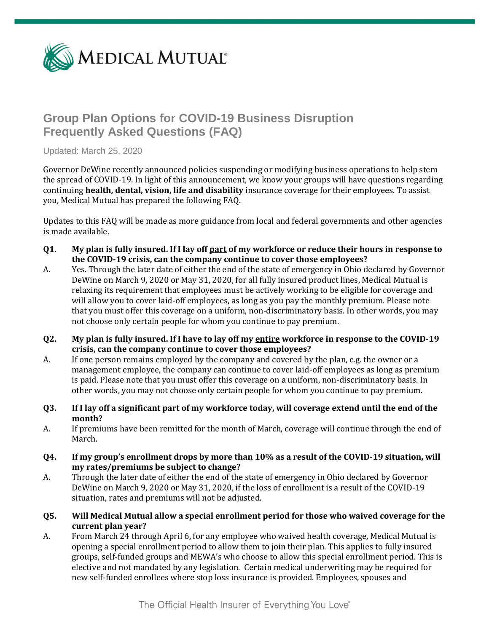

# **Group Plan Options for COVID-19 Business Disruption Frequently Asked Questions (FAQ)**

Updated: March 25, 2020

Governor DeWine recently announced policies suspending or modifying business operations to help stem the spread of COVID-19. In light of this announcement, we know your groups will have questions regarding continuing **health, dental, vision, life and disability** insurance coverage for their employees. To assist you, Medical Mutual has prepared the following FAQ.

Updates to this FAQ will be made as more guidance from local and federal governments and other agencies is made available.

- **Q1. My plan is fully insured. If I lay off part of my workforce or reduce their hours in response to the COVID-19 crisis, can the company continue to cover those employees?**
- A. Yes. Through the later date of either the end of the state of emergency in Ohio declared by Governor DeWine on March 9, 2020 or May 31, 2020, for all fully insured product lines, Medical Mutual is relaxing its requirement that employees must be actively working to be eligible for coverage and will allow you to cover laid-off employees, as long as you pay the monthly premium. Please note that you must offer this coverage on a uniform, non-discriminatory basis. In other words, you may not choose only certain people for whom you continue to pay premium.
- **Q2. My plan is fully insured. If I have to lay off my entire workforce in response to the COVID-19 crisis, can the company continue to cover those employees?**
- A. If one person remains employed by the company and covered by the plan, e.g. the owner or a management employee, the company can continue to cover laid-off employees as long as premium is paid. Please note that you must offer this coverage on a uniform, non-discriminatory basis. In other words, you may not choose only certain people for whom you continue to pay premium.
- **Q3. If I lay off a significant part of my workforce today, will coverage extend until the end of the month?**
- A. If premiums have been remitted for the month of March, coverage will continue through the end of March.
- **Q4. If my group's enrollment drops by more than 10% as a result of the COVID-19 situation, will my rates/premiums be subject to change?**
- A. Through the later date of either the end of the state of emergency in Ohio declared by Governor DeWine on March 9, 2020 or May 31, 2020, if the loss of enrollment is a result of the COVID-19 situation, rates and premiums will not be adjusted.
- **Q5. Will Medical Mutual allow a special enrollment period for those who waived coverage for the current plan year?**
- A. From March 24 through April 6, for any employee who waived health coverage, Medical Mutual is opening a special enrollment period to allow them to join their plan. This applies to fully insured groups, self-funded groups and MEWA's who choose to allow this special enrollment period. This is elective and not mandated by any legislation. Certain medical underwriting may be required for new self-funded enrollees where stop loss insurance is provided. Employees, spouses and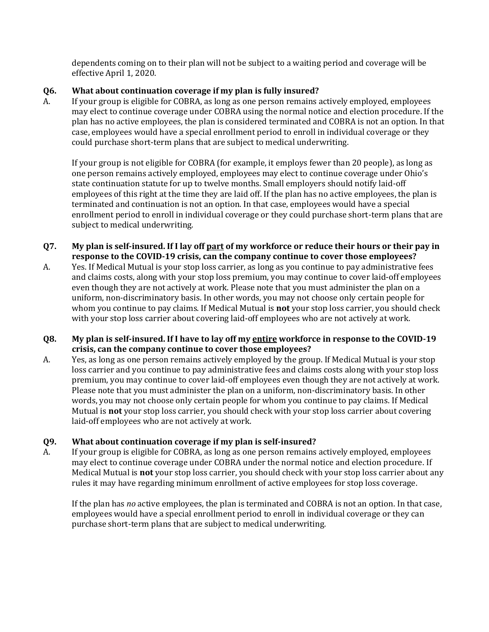dependents coming on to their plan will not be subject to a waiting period and coverage will be effective April 1, 2020.

## **Q6. What about continuation coverage if my plan is fully insured?**

A. If your group is eligible for COBRA, as long as one person remains actively employed, employees may elect to continue coverage under COBRA using the normal notice and election procedure. If the plan has no active employees, the plan is considered terminated and COBRA is not an option. In that case, employees would have a special enrollment period to enroll in individual coverage or they could purchase short-term plans that are subject to medical underwriting.

If your group is not eligible for COBRA (for example, it employs fewer than 20 people), as long as one person remains actively employed, employees may elect to continue coverage under Ohio's state continuation statute for up to twelve months. Small employers should notify laid-off employees of this right at the time they are laid off. If the plan has no active employees, the plan is terminated and continuation is not an option. In that case, employees would have a special enrollment period to enroll in individual coverage or they could purchase short-term plans that are subject to medical underwriting.

- **Q7. My plan is self-insured. If I lay off part of my workforce or reduce their hours or their pay in response to the COVID-19 crisis, can the company continue to cover those employees?**
- A. Yes. If Medical Mutual is your stop loss carrier, as long as you continue to pay administrative fees and claims costs, along with your stop loss premium, you may continue to cover laid-off employees even though they are not actively at work. Please note that you must administer the plan on a uniform, non-discriminatory basis. In other words, you may not choose only certain people for whom you continue to pay claims. If Medical Mutual is **not** your stop loss carrier, you should check with your stop loss carrier about covering laid-off employees who are not actively at work.

## **Q8. My plan is self-insured. If I have to lay off my entire workforce in response to the COVID-19 crisis, can the company continue to cover those employees?**

A. Yes, as long as one person remains actively employed by the group. If Medical Mutual is your stop loss carrier and you continue to pay administrative fees and claims costs along with your stop loss premium, you may continue to cover laid-off employees even though they are not actively at work. Please note that you must administer the plan on a uniform, non-discriminatory basis. In other words, you may not choose only certain people for whom you continue to pay claims. If Medical Mutual is **not** your stop loss carrier, you should check with your stop loss carrier about covering laid-off employees who are not actively at work.

# **Q9. What about continuation coverage if my plan is self-insured?**

A. If your group is eligible for COBRA, as long as one person remains actively employed, employees may elect to continue coverage under COBRA under the normal notice and election procedure. If Medical Mutual is **not** your stop loss carrier, you should check with your stop loss carrier about any rules it may have regarding minimum enrollment of active employees for stop loss coverage.

If the plan has *no* active employees, the plan is terminated and COBRA is not an option. In that case, employees would have a special enrollment period to enroll in individual coverage or they can purchase short-term plans that are subject to medical underwriting.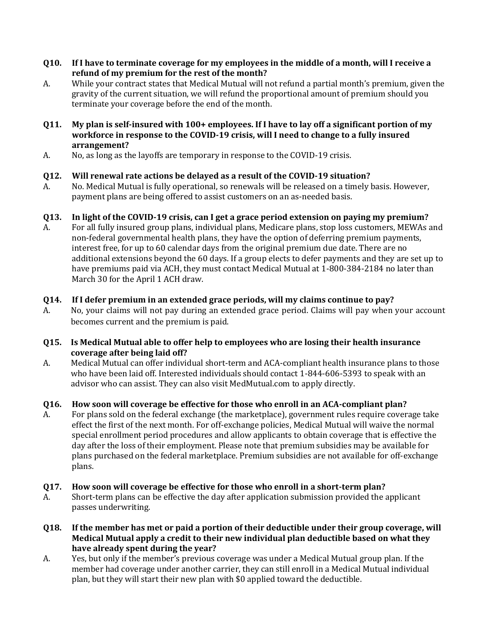- **Q10. If I have to terminate coverage for my employees in the middle of a month, will I receive a refund of my premium for the rest of the month?**
- A. While your contract states that Medical Mutual will not refund a partial month's premium, given the gravity of the current situation, we will refund the proportional amount of premium should you terminate your coverage before the end of the month.
- **Q11. My plan is self-insured with 100+ employees. If I have to lay off a significant portion of my workforce in response to the COVID-19 crisis, will I need to change to a fully insured arrangement?**
- A. No, as long as the layoffs are temporary in response to the COVID-19 crisis.

## **Q12. Will renewal rate actions be delayed as a result of the COVID-19 situation?**

A. No. Medical Mutual is fully operational, so renewals will be released on a timely basis. However, payment plans are being offered to assist customers on an as-needed basis.

## **Q13. In light of the COVID-19 crisis, can I get a grace period extension on paying my premium?**

A. For all fully insured group plans, individual plans, Medicare plans, stop loss customers, MEWAs and non-federal governmental health plans, they have the option of deferring premium payments, interest free, for up to 60 calendar days from the original premium due date. There are no additional extensions beyond the 60 days. If a group elects to defer payments and they are set up to have premiums paid via ACH, they must contact Medical Mutual at 1-800-384-2184 no later than March 30 for the April 1 ACH draw.

## **Q14. If I defer premium in an extended grace periods, will my claims continue to pay?**

A. No, your claims will not pay during an extended grace period. Claims will pay when your account becomes current and the premium is paid.

#### **Q15. Is Medical Mutual able to offer help to employees who are losing their health insurance coverage after being laid off?**

A. Medical Mutual can offer individual short-term and ACA-compliant health insurance plans to those who have been laid off. Interested individuals should contact 1-844-606-5393 to speak with an advisor who can assist. They can also visit MedMutual.com to apply directly.

#### **Q16. How soon will coverage be effective for those who enroll in an ACA-compliant plan?**

A. For plans sold on the federal exchange (the marketplace), government rules require coverage take effect the first of the next month. For off-exchange policies, Medical Mutual will waive the normal special enrollment period procedures and allow applicants to obtain coverage that is effective the day after the loss of their employment. Please note that premium subsidies may be available for plans purchased on the federal marketplace. Premium subsidies are not available for off-exchange plans.

#### **Q17. How soon will coverage be effective for those who enroll in a short-term plan?**

- A. Short-term plans can be effective the day after application submission provided the applicant passes underwriting.
- **Q18. If the member has met or paid a portion of their deductible under their group coverage, will Medical Mutual apply a credit to their new individual plan deductible based on what they have already spent during the year?**
- A. Yes, but only if the member's previous coverage was under a Medical Mutual group plan. If the member had coverage under another carrier, they can still enroll in a Medical Mutual individual plan, but they will start their new plan with \$0 applied toward the deductible.